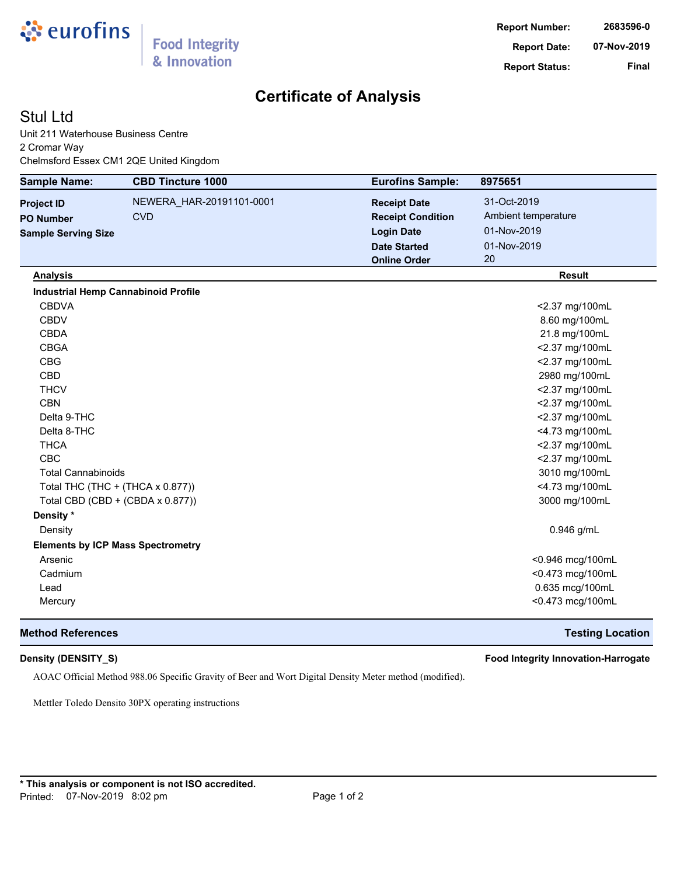

# **Certificate of Analysis**

## Stul Ltd

Unit 211 Waterhouse Business Centre 2 Cromar Way Chelmsford Essex CM1 2QE United Kingdom

| <b>Sample Name:</b>                        | <b>CBD Tincture 1000</b> | <b>Eurofins Sample:</b>  | 8975651             |
|--------------------------------------------|--------------------------|--------------------------|---------------------|
| <b>Project ID</b>                          | NEWERA_HAR-20191101-0001 | <b>Receipt Date</b>      | 31-Oct-2019         |
| <b>PO Number</b>                           | <b>CVD</b>               | <b>Receipt Condition</b> | Ambient temperature |
| <b>Sample Serving Size</b>                 |                          | <b>Login Date</b>        | 01-Nov-2019         |
|                                            |                          | <b>Date Started</b>      | 01-Nov-2019         |
|                                            |                          | <b>Online Order</b>      | 20                  |
| <b>Analysis</b>                            |                          |                          | <b>Result</b>       |
| <b>Industrial Hemp Cannabinoid Profile</b> |                          |                          |                     |
| <b>CBDVA</b>                               |                          |                          | <2.37 mg/100mL      |
| <b>CBDV</b>                                |                          |                          | 8.60 mg/100mL       |
| <b>CBDA</b>                                |                          |                          | 21.8 mg/100mL       |
| <b>CBGA</b>                                |                          |                          | <2.37 mg/100mL      |
| <b>CBG</b>                                 |                          |                          | <2.37 mg/100mL      |
| <b>CBD</b>                                 |                          |                          | 2980 mg/100mL       |
| <b>THCV</b>                                |                          |                          | <2.37 mg/100mL      |
| <b>CBN</b>                                 |                          |                          | <2.37 mg/100mL      |
| Delta 9-THC                                |                          |                          | <2.37 mg/100mL      |
| Delta 8-THC                                |                          |                          | <4.73 mg/100mL      |
| <b>THCA</b>                                |                          |                          | <2.37 mg/100mL      |
| <b>CBC</b>                                 |                          |                          | <2.37 mg/100mL      |
| <b>Total Cannabinoids</b>                  |                          |                          | 3010 mg/100mL       |
| Total THC (THC + (THCA x 0.877))           |                          |                          | <4.73 mg/100mL      |
| Total CBD (CBD + (CBDA x 0.877))           |                          |                          | 3000 mg/100mL       |
| Density *                                  |                          |                          |                     |
| Density                                    |                          |                          | 0.946 g/mL          |
| <b>Elements by ICP Mass Spectrometry</b>   |                          |                          |                     |
| Arsenic                                    |                          |                          | <0.946 mcg/100mL    |
| Cadmium                                    |                          |                          | <0.473 mcg/100mL    |
| Lead                                       |                          |                          | 0.635 mcg/100mL     |
| Mercury                                    |                          |                          | <0.473 mcg/100mL    |

### **Method References Testing Location**

**Density (DENSITY\_S) Food Integrity Innovation-Harrogate**

AOAC Official Method 988.06 Specific Gravity of Beer and Wort Digital Density Meter method (modified).

Mettler Toledo Densito 30PX operating instructions